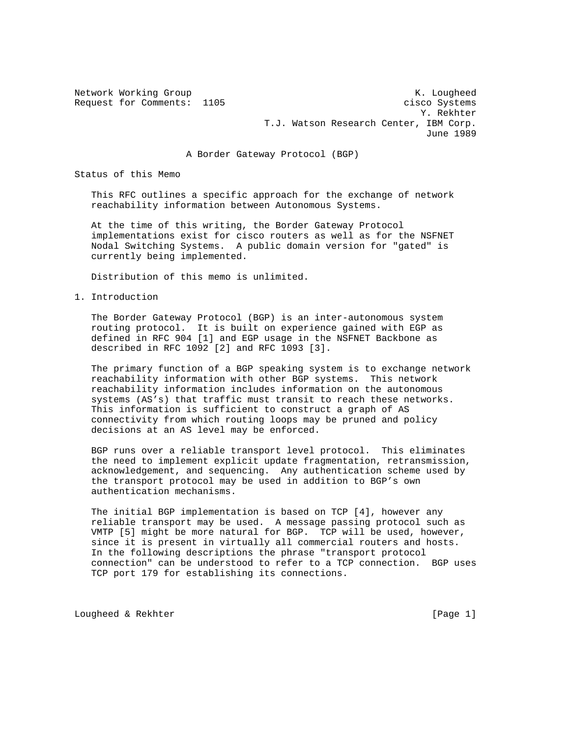Network Working Group Network Working Group Network Constants and Manual Constants Area of the Manual Constants A Request for Comments: 1105 cisco Systems Y. Rekhter T.J. Watson Research Center, IBM Corp. June 1989

A Border Gateway Protocol (BGP)

Status of this Memo

 This RFC outlines a specific approach for the exchange of network reachability information between Autonomous Systems.

 At the time of this writing, the Border Gateway Protocol implementations exist for cisco routers as well as for the NSFNET Nodal Switching Systems. A public domain version for "gated" is currently being implemented.

Distribution of this memo is unlimited.

1. Introduction

 The Border Gateway Protocol (BGP) is an inter-autonomous system routing protocol. It is built on experience gained with EGP as defined in RFC 904 [1] and EGP usage in the NSFNET Backbone as described in RFC 1092 [2] and RFC 1093 [3].

 The primary function of a BGP speaking system is to exchange network reachability information with other BGP systems. This network reachability information includes information on the autonomous systems (AS's) that traffic must transit to reach these networks. This information is sufficient to construct a graph of AS connectivity from which routing loops may be pruned and policy decisions at an AS level may be enforced.

 BGP runs over a reliable transport level protocol. This eliminates the need to implement explicit update fragmentation, retransmission, acknowledgement, and sequencing. Any authentication scheme used by the transport protocol may be used in addition to BGP's own authentication mechanisms.

 The initial BGP implementation is based on TCP [4], however any reliable transport may be used. A message passing protocol such as VMTP [5] might be more natural for BGP. TCP will be used, however, since it is present in virtually all commercial routers and hosts. In the following descriptions the phrase "transport protocol connection" can be understood to refer to a TCP connection. BGP uses TCP port 179 for establishing its connections.

Lougheed & Rekhter [Page 1]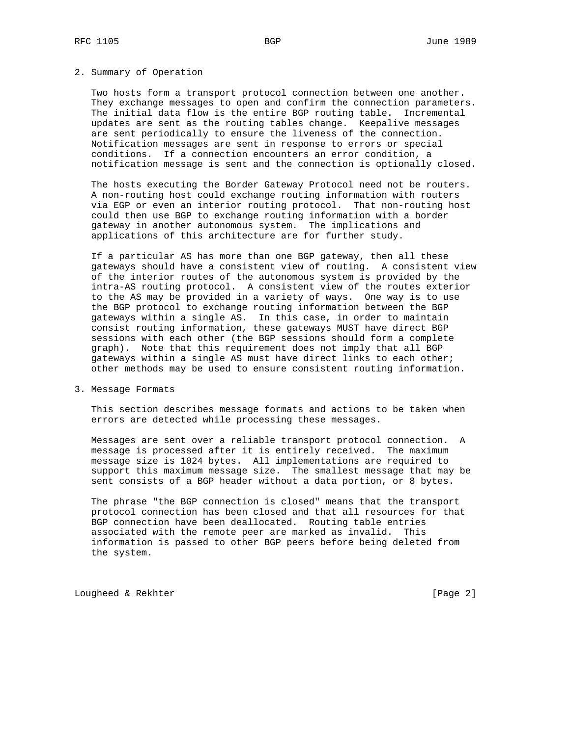## 2. Summary of Operation

 Two hosts form a transport protocol connection between one another. They exchange messages to open and confirm the connection parameters. The initial data flow is the entire BGP routing table. Incremental updates are sent as the routing tables change. Keepalive messages are sent periodically to ensure the liveness of the connection. Notification messages are sent in response to errors or special conditions. If a connection encounters an error condition, a notification message is sent and the connection is optionally closed.

 The hosts executing the Border Gateway Protocol need not be routers. A non-routing host could exchange routing information with routers via EGP or even an interior routing protocol. That non-routing host could then use BGP to exchange routing information with a border gateway in another autonomous system. The implications and applications of this architecture are for further study.

 If a particular AS has more than one BGP gateway, then all these gateways should have a consistent view of routing. A consistent view of the interior routes of the autonomous system is provided by the intra-AS routing protocol. A consistent view of the routes exterior to the AS may be provided in a variety of ways. One way is to use the BGP protocol to exchange routing information between the BGP gateways within a single AS. In this case, in order to maintain consist routing information, these gateways MUST have direct BGP sessions with each other (the BGP sessions should form a complete graph). Note that this requirement does not imply that all BGP gateways within a single AS must have direct links to each other; other methods may be used to ensure consistent routing information.

3. Message Formats

 This section describes message formats and actions to be taken when errors are detected while processing these messages.

 Messages are sent over a reliable transport protocol connection. A message is processed after it is entirely received. The maximum message size is 1024 bytes. All implementations are required to support this maximum message size. The smallest message that may be sent consists of a BGP header without a data portion, or 8 bytes.

 The phrase "the BGP connection is closed" means that the transport protocol connection has been closed and that all resources for that BGP connection have been deallocated. Routing table entries associated with the remote peer are marked as invalid. This information is passed to other BGP peers before being deleted from the system.

Lougheed & Rekhter [Page 2]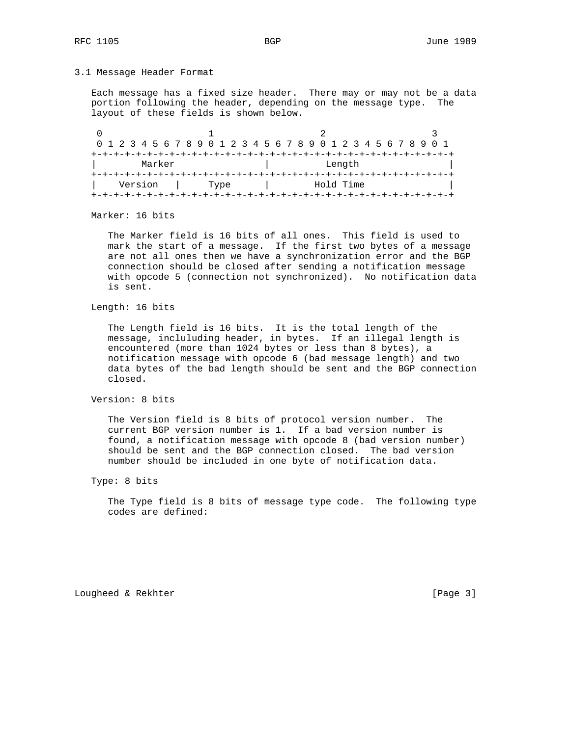### 3.1 Message Header Format

 Each message has a fixed size header. There may or may not be a data portion following the header, depending on the message type. The layout of these fields is shown below.

|                                 |  |  | 0 1 2 3 4 5 6 7 8 9 0 1 2 3 4 5 6 7 8 9 0 1 2 3 4 5 6 7 8 9 0 1 |  |        |  |  |  |  |  |      |  |  |  |  |  |  |  |  |  |           |  |  |  |  |
|---------------------------------|--|--|-----------------------------------------------------------------|--|--------|--|--|--|--|--|------|--|--|--|--|--|--|--|--|--|-----------|--|--|--|--|
|                                 |  |  |                                                                 |  |        |  |  |  |  |  |      |  |  |  |  |  |  |  |  |  |           |  |  |  |  |
| Marker                          |  |  |                                                                 |  | Length |  |  |  |  |  |      |  |  |  |  |  |  |  |  |  |           |  |  |  |  |
| -+-+-+-+-+-+-+-+-+-+-+-+-+-+-+- |  |  |                                                                 |  |        |  |  |  |  |  |      |  |  |  |  |  |  |  |  |  |           |  |  |  |  |
|                                 |  |  | Version                                                         |  |        |  |  |  |  |  | Type |  |  |  |  |  |  |  |  |  | Hold Time |  |  |  |  |
|                                 |  |  |                                                                 |  |        |  |  |  |  |  |      |  |  |  |  |  |  |  |  |  |           |  |  |  |  |

Marker: 16 bits

 The Marker field is 16 bits of all ones. This field is used to mark the start of a message. If the first two bytes of a message are not all ones then we have a synchronization error and the BGP connection should be closed after sending a notification message with opcode 5 (connection not synchronized). No notification data is sent.

Length: 16 bits

 The Length field is 16 bits. It is the total length of the message, incluluding header, in bytes. If an illegal length is encountered (more than 1024 bytes or less than 8 bytes), a notification message with opcode 6 (bad message length) and two data bytes of the bad length should be sent and the BGP connection closed.

Version: 8 bits

 The Version field is 8 bits of protocol version number. The current BGP version number is 1. If a bad version number is found, a notification message with opcode 8 (bad version number) should be sent and the BGP connection closed. The bad version number should be included in one byte of notification data.

 The Type field is 8 bits of message type code. The following type codes are defined:

Lougheed & Rekhter [Page 3]

Type: 8 bits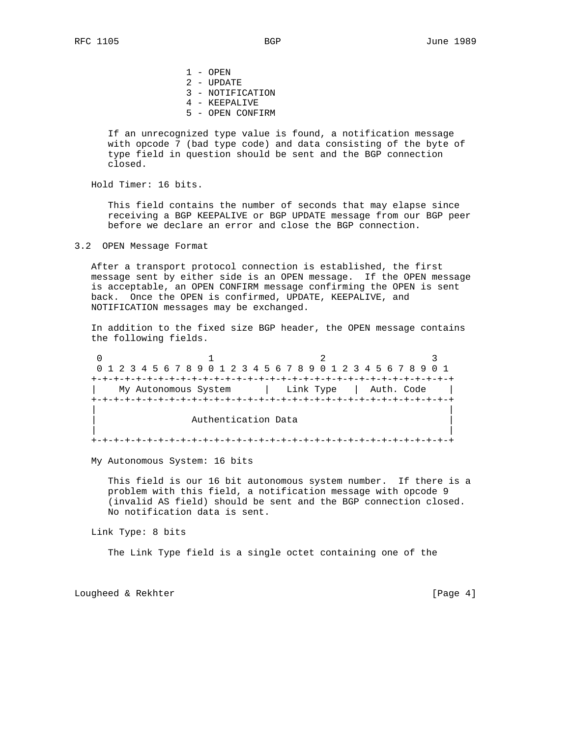1 - OPEN 2 - UPDATE 3 - NOTIFICATION 4 - KEEPALIVE 5 - OPEN CONFIRM

 If an unrecognized type value is found, a notification message with opcode 7 (bad type code) and data consisting of the byte of type field in question should be sent and the BGP connection closed.

Hold Timer: 16 bits.

 This field contains the number of seconds that may elapse since receiving a BGP KEEPALIVE or BGP UPDATE message from our BGP peer before we declare an error and close the BGP connection.

3.2 OPEN Message Format

 After a transport protocol connection is established, the first message sent by either side is an OPEN message. If the OPEN message is acceptable, an OPEN CONFIRM message confirming the OPEN is sent back. Once the OPEN is confirmed, UPDATE, KEEPALIVE, and NOTIFICATION messages may be exchanged.

 In addition to the fixed size BGP header, the OPEN message contains the following fields.

0  $1$  2 3 0 1 2 3 4 5 6 7 8 9 0 1 2 3 4 5 6 7 8 9 0 1 2 3 4 5 6 7 8 9 0 1 +-+-+-+-+-+-+-+-+-+-+-+-+-+-+-+-+-+-+-+-+-+-+-+-+-+-+-+-+-+-+-+-+ My Autonomous System  $|$  Link Type  $|$  Auth. Code +-+-+-+-+-+-+-+-+-+-+-+-+-+-+-+-+-+-+-+-+-+-+-+-+-+-+-+-+-+-+-+-+ | | Authentication Data | | +-+-+-+-+-+-+-+-+-+-+-+-+-+-+-+-+-+-+-+-+-+-+-+-+-+-+-+-+-+-+-+-+

My Autonomous System: 16 bits

 This field is our 16 bit autonomous system number. If there is a problem with this field, a notification message with opcode 9 (invalid AS field) should be sent and the BGP connection closed. No notification data is sent.

Link Type: 8 bits

The Link Type field is a single octet containing one of the

Lougheed & Rekhter **Example 2018** [Page 4]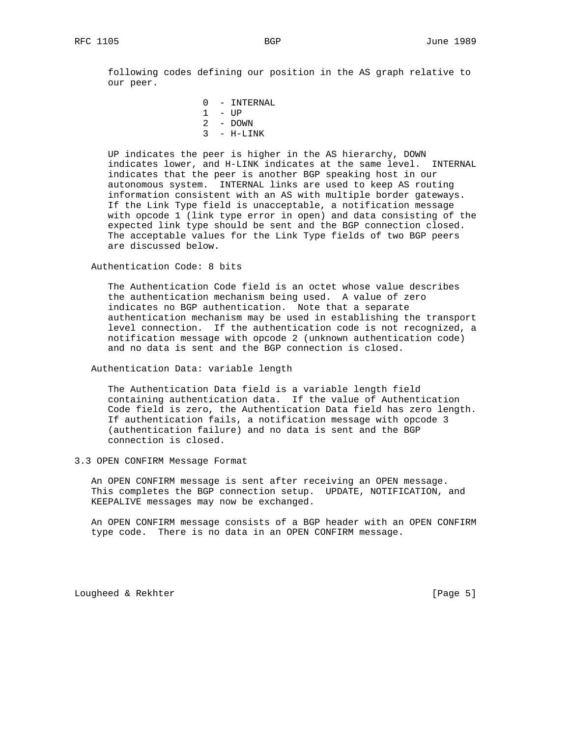following codes defining our position in the AS graph relative to our peer.

> 0 - INTERNAL 1 - UP 2 - DOWN  $3 - H-LINK$

 UP indicates the peer is higher in the AS hierarchy, DOWN indicates lower, and H-LINK indicates at the same level. INTERNAL indicates that the peer is another BGP speaking host in our autonomous system. INTERNAL links are used to keep AS routing information consistent with an AS with multiple border gateways. If the Link Type field is unacceptable, a notification message with opcode 1 (link type error in open) and data consisting of the expected link type should be sent and the BGP connection closed. The acceptable values for the Link Type fields of two BGP peers are discussed below.

Authentication Code: 8 bits

 The Authentication Code field is an octet whose value describes the authentication mechanism being used. A value of zero indicates no BGP authentication. Note that a separate authentication mechanism may be used in establishing the transport level connection. If the authentication code is not recognized, a notification message with opcode 2 (unknown authentication code) and no data is sent and the BGP connection is closed.

Authentication Data: variable length

 The Authentication Data field is a variable length field containing authentication data. If the value of Authentication Code field is zero, the Authentication Data field has zero length. If authentication fails, a notification message with opcode 3 (authentication failure) and no data is sent and the BGP connection is closed.

3.3 OPEN CONFIRM Message Format

 An OPEN CONFIRM message is sent after receiving an OPEN message. This completes the BGP connection setup. UPDATE, NOTIFICATION, and KEEPALIVE messages may now be exchanged.

 An OPEN CONFIRM message consists of a BGP header with an OPEN CONFIRM type code. There is no data in an OPEN CONFIRM message.

Lougheed & Rekhter [Page 5]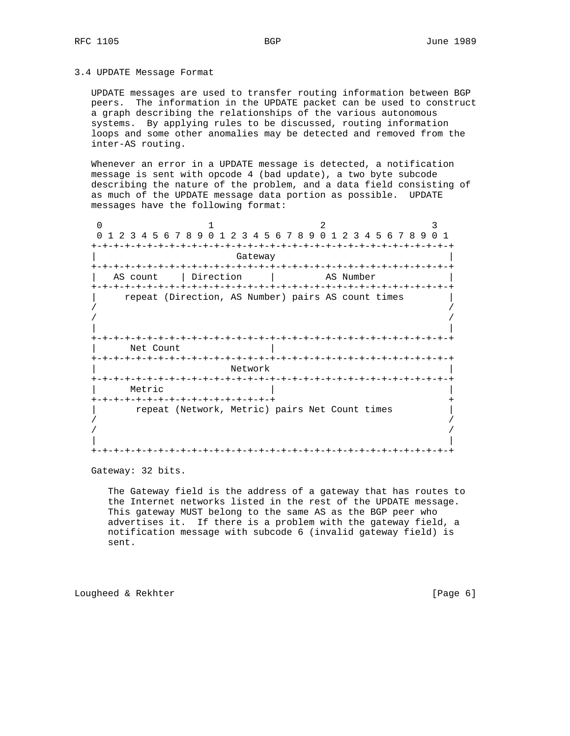## 3.4 UPDATE Message Format

 UPDATE messages are used to transfer routing information between BGP peers. The information in the UPDATE packet can be used to construct a graph describing the relationships of the various autonomous systems. By applying rules to be discussed, routing information loops and some other anomalies may be detected and removed from the inter-AS routing.

 Whenever an error in a UPDATE message is detected, a notification message is sent with opcode 4 (bad update), a two byte subcode describing the nature of the problem, and a data field consisting of as much of the UPDATE message data portion as possible. UPDATE messages have the following format:

0  $1$  2 3 0 1 2 3 4 5 6 7 8 9 0 1 2 3 4 5 6 7 8 9 0 1 2 3 4 5 6 7 8 9 0 1 +-+-+-+-+-+-+-+-+-+-+-+-+-+-+-+-+-+-+-+-+-+-+-+-+-+-+-+-+-+-+-+-+ Gateway +-+-+-+-+-+-+-+-+-+-+-+-+-+-+-+-+-+-+-+-+-+-+-+-+-+-+-+-+-+-+-+-+ | AS count | Direction | AS Number +-+-+-+-+-+-+-+-+-+-+-+-+-+-+-+-+-+-+-+-+-+-+-+-+-+-+-+-+-+-+-+-+ repeat (Direction, AS Number) pairs AS count times / /  $/$  /  $/$  | | +-+-+-+-+-+-+-+-+-+-+-+-+-+-+-+-+-+-+-+-+-+-+-+-+-+-+-+-+-+-+-+-+ Net Count +-+-+-+-+-+-+-+-+-+-+-+-+-+-+-+-+-+-+-+-+-+-+-+-+-+-+-+-+-+-+-+-+ | Network | Network | Network | Network | Network | Network | Network | Network | Network | Network | Network | Network | Network | Network | Network | Network | Network | Network | Network | Network | Network | Network | +-+-+-+-+-+-+-+-+-+-+-+-+-+-+-+-+-+-+-+-+-+-+-+-+-+-+-+-+-+-+-+-+ | Metric | | +-+-+-+-+-+-+-+-+-+-+-+-+-+-+-+-+ + repeat (Network, Metric) pairs Net Count times  $/$  /  $/$  / / | | +-+-+-+-+-+-+-+-+-+-+-+-+-+-+-+-+-+-+-+-+-+-+-+-+-+-+-+-+-+-+-+-+

Gateway: 32 bits.

 The Gateway field is the address of a gateway that has routes to the Internet networks listed in the rest of the UPDATE message. This gateway MUST belong to the same AS as the BGP peer who advertises it. If there is a problem with the gateway field, a notification message with subcode 6 (invalid gateway field) is sent.

Lougheed & Rekhter **Example 2018** [Page 6]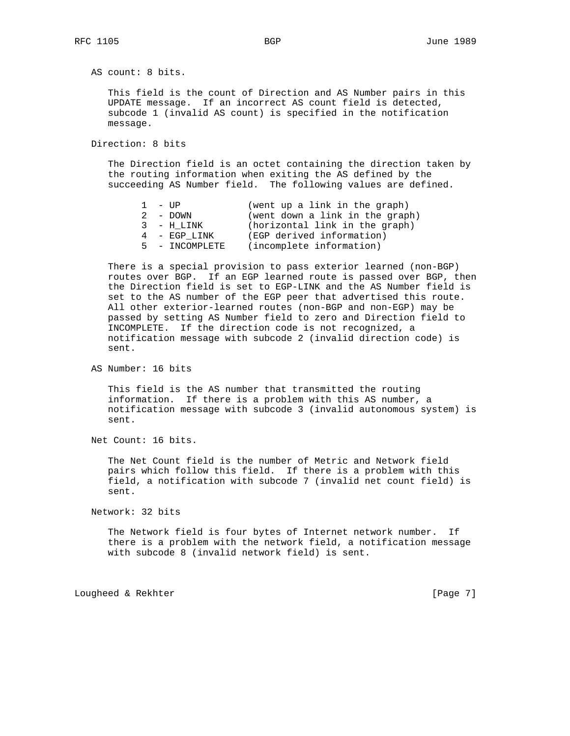AS count: 8 bits.

 This field is the count of Direction and AS Number pairs in this UPDATE message. If an incorrect AS count field is detected, subcode 1 (invalid AS count) is specified in the notification message.

Direction: 8 bits

 The Direction field is an octet containing the direction taken by the routing information when exiting the AS defined by the succeeding AS Number field. The following values are defined.

| $1 - IIP$      | (went up a link in the graph)   |
|----------------|---------------------------------|
| 2 - DOWN       | (went down a link in the graph) |
| 3 - H LINK     | (horizontal link in the graph)  |
| 4 - EGP LINK   | (EGP derived information)       |
| 5 - INCOMPLETE | (incomplete information)        |

 There is a special provision to pass exterior learned (non-BGP) routes over BGP. If an EGP learned route is passed over BGP, then the Direction field is set to EGP-LINK and the AS Number field is set to the AS number of the EGP peer that advertised this route. All other exterior-learned routes (non-BGP and non-EGP) may be passed by setting AS Number field to zero and Direction field to INCOMPLETE. If the direction code is not recognized, a notification message with subcode 2 (invalid direction code) is sent.

AS Number: 16 bits

 This field is the AS number that transmitted the routing information. If there is a problem with this AS number, a notification message with subcode 3 (invalid autonomous system) is sent.

Net Count: 16 bits.

 The Net Count field is the number of Metric and Network field pairs which follow this field. If there is a problem with this field, a notification with subcode 7 (invalid net count field) is sent.

Network: 32 bits

 The Network field is four bytes of Internet network number. If there is a problem with the network field, a notification message with subcode 8 (invalid network field) is sent.

Lougheed & Rekhter [Page 7]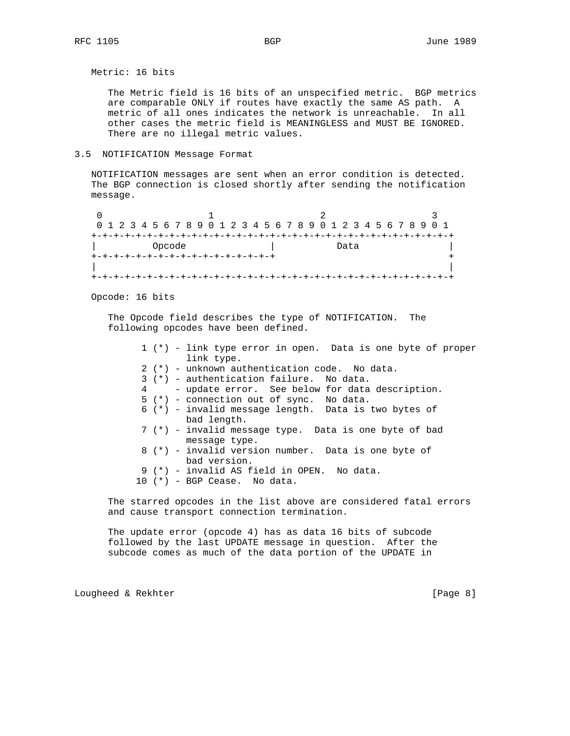Metric: 16 bits

 The Metric field is 16 bits of an unspecified metric. BGP metrics are comparable ONLY if routes have exactly the same AS path. A metric of all ones indicates the network is unreachable. In all other cases the metric field is MEANINGLESS and MUST BE IGNORED. There are no illegal metric values.

# 3.5 NOTIFICATION Message Format

 NOTIFICATION messages are sent when an error condition is detected. The BGP connection is closed shortly after sending the notification message.

0  $1$  2 3 0 1 2 3 4 5 6 7 8 9 0 1 2 3 4 5 6 7 8 9 0 1 2 3 4 5 6 7 8 9 0 1 +-+-+-+-+-+-+-+-+-+-+-+-+-+-+-+-+-+-+-+-+-+-+-+-+-+-+-+-+-+-+-+-+ Opcode  $\qquad \qquad \vert$  Data +-+-+-+-+-+-+-+-+-+-+-+-+-+-+-+-+ + | | +-+-+-+-+-+-+-+-+-+-+-+-+-+-+-+-+-+-+-+-+-+-+-+-+-+-+-+-+-+-+-+-+

Opcode: 16 bits

 The Opcode field describes the type of NOTIFICATION. The following opcodes have been defined.

|  | $1$ (*) - link type error in open. Data is one byte of proper          |
|--|------------------------------------------------------------------------|
|  | link type.                                                             |
|  | 2 (*) - unknown authentication code. No data.                          |
|  | $3$ (*) - authentication failure. No data.                             |
|  | 4 - update error. See below for data description.                      |
|  | $5$ (*) - connection out of sync. No data.                             |
|  | $6$ (*) - invalid message length. Data is two bytes of<br>bad length.  |
|  | 7 (*) - invalid message type. Data is one byte of bad<br>message type. |
|  | 8 (*) - invalid version number. Data is one byte of<br>bad version.    |
|  | 9 (*) - invalid AS field in OPEN. No data.                             |
|  | $10$ (*) – BGP Cease. No data.                                         |

 The starred opcodes in the list above are considered fatal errors and cause transport connection termination.

 The update error (opcode 4) has as data 16 bits of subcode followed by the last UPDATE message in question. After the subcode comes as much of the data portion of the UPDATE in

Lougheed & Rekhter **Example 2018** [Page 8]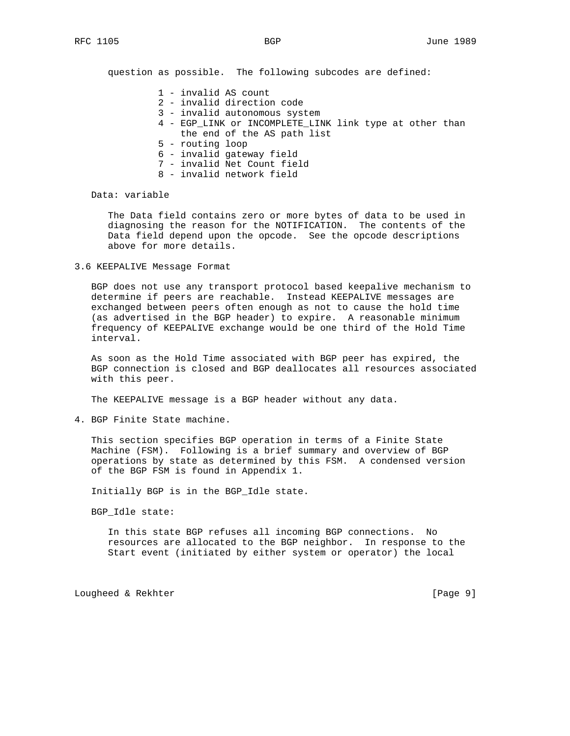question as possible. The following subcodes are defined:

- 1 invalid AS count
- 2 invalid direction code
- 3 invalid autonomous system
- 4 EGP\_LINK or INCOMPLETE\_LINK link type at other than the end of the AS path list
- 5 routing loop
- 6 invalid gateway field
- 7 invalid Net Count field
- 8 invalid network field

Data: variable

 The Data field contains zero or more bytes of data to be used in diagnosing the reason for the NOTIFICATION. The contents of the Data field depend upon the opcode. See the opcode descriptions above for more details.

3.6 KEEPALIVE Message Format

 BGP does not use any transport protocol based keepalive mechanism to determine if peers are reachable. Instead KEEPALIVE messages are exchanged between peers often enough as not to cause the hold time (as advertised in the BGP header) to expire. A reasonable minimum frequency of KEEPALIVE exchange would be one third of the Hold Time interval.

 As soon as the Hold Time associated with BGP peer has expired, the BGP connection is closed and BGP deallocates all resources associated with this peer.

The KEEPALIVE message is a BGP header without any data.

4. BGP Finite State machine.

 This section specifies BGP operation in terms of a Finite State Machine (FSM). Following is a brief summary and overview of BGP operations by state as determined by this FSM. A condensed version of the BGP FSM is found in Appendix 1.

Initially BGP is in the BGP\_Idle state.

BGP\_Idle state:

 In this state BGP refuses all incoming BGP connections. No resources are allocated to the BGP neighbor. In response to the Start event (initiated by either system or operator) the local

Lougheed & Rekhter [Page 9]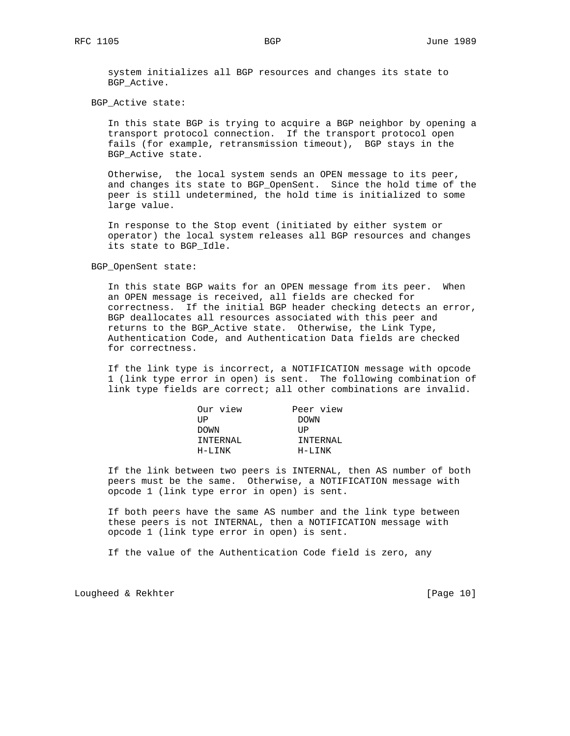system initializes all BGP resources and changes its state to BGP\_Active.

BGP\_Active state:

 In this state BGP is trying to acquire a BGP neighbor by opening a transport protocol connection. If the transport protocol open fails (for example, retransmission timeout), BGP stays in the BGP\_Active state.

 Otherwise, the local system sends an OPEN message to its peer, and changes its state to BGP\_OpenSent. Since the hold time of the peer is still undetermined, the hold time is initialized to some large value.

 In response to the Stop event (initiated by either system or operator) the local system releases all BGP resources and changes its state to BGP\_Idle.

BGP\_OpenSent state:

 In this state BGP waits for an OPEN message from its peer. When an OPEN message is received, all fields are checked for correctness. If the initial BGP header checking detects an error, BGP deallocates all resources associated with this peer and returns to the BGP\_Active state. Otherwise, the Link Type, Authentication Code, and Authentication Data fields are checked for correctness.

 If the link type is incorrect, a NOTIFICATION message with opcode 1 (link type error in open) is sent. The following combination of link type fields are correct; all other combinations are invalid.

| Peer view |
|-----------|
| DOWN      |
| TJP.      |
| TNTERNAL  |
| H-LTNK    |
|           |

 If the link between two peers is INTERNAL, then AS number of both peers must be the same. Otherwise, a NOTIFICATION message with opcode 1 (link type error in open) is sent.

 If both peers have the same AS number and the link type between these peers is not INTERNAL, then a NOTIFICATION message with opcode 1 (link type error in open) is sent.

If the value of the Authentication Code field is zero, any

Lougheed & Rekhter [Page 10]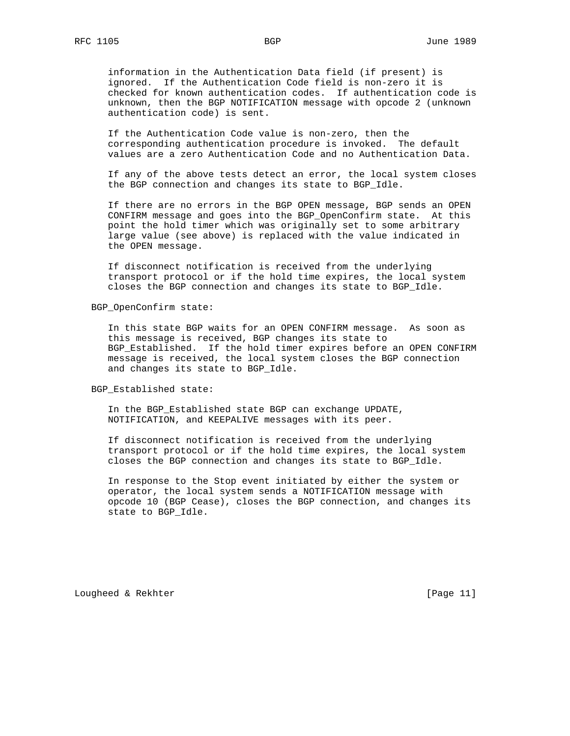information in the Authentication Data field (if present) is ignored. If the Authentication Code field is non-zero it is checked for known authentication codes. If authentication code is unknown, then the BGP NOTIFICATION message with opcode 2 (unknown authentication code) is sent.

 If the Authentication Code value is non-zero, then the corresponding authentication procedure is invoked. The default values are a zero Authentication Code and no Authentication Data.

 If any of the above tests detect an error, the local system closes the BGP connection and changes its state to BGP\_Idle.

 If there are no errors in the BGP OPEN message, BGP sends an OPEN CONFIRM message and goes into the BGP\_OpenConfirm state. At this point the hold timer which was originally set to some arbitrary large value (see above) is replaced with the value indicated in the OPEN message.

 If disconnect notification is received from the underlying transport protocol or if the hold time expires, the local system closes the BGP connection and changes its state to BGP\_Idle.

## BGP\_OpenConfirm state:

 In this state BGP waits for an OPEN CONFIRM message. As soon as this message is received, BGP changes its state to BGP\_Established. If the hold timer expires before an OPEN CONFIRM message is received, the local system closes the BGP connection and changes its state to BGP\_Idle.

BGP\_Established state:

 In the BGP\_Established state BGP can exchange UPDATE, NOTIFICATION, and KEEPALIVE messages with its peer.

 If disconnect notification is received from the underlying transport protocol or if the hold time expires, the local system closes the BGP connection and changes its state to BGP\_Idle.

 In response to the Stop event initiated by either the system or operator, the local system sends a NOTIFICATION message with opcode 10 (BGP Cease), closes the BGP connection, and changes its state to BGP\_Idle.

Lougheed & Rekhter [Page 11]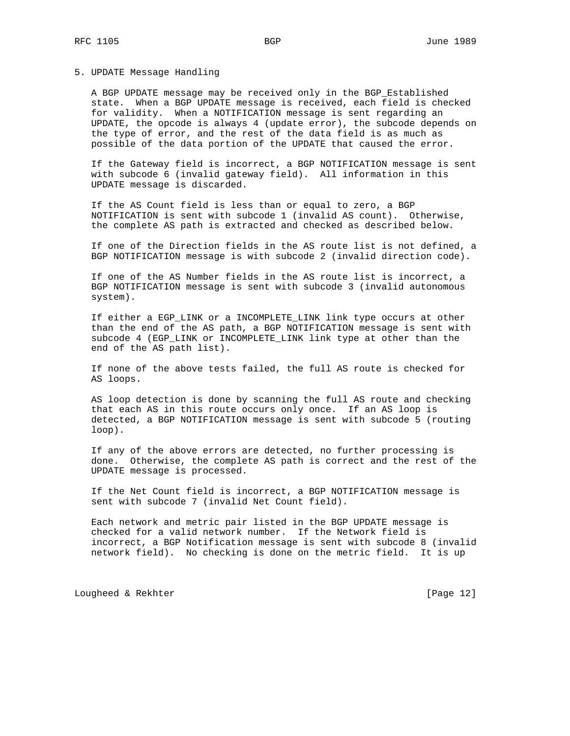## 5. UPDATE Message Handling

 A BGP UPDATE message may be received only in the BGP\_Established state. When a BGP UPDATE message is received, each field is checked for validity. When a NOTIFICATION message is sent regarding an UPDATE, the opcode is always 4 (update error), the subcode depends on the type of error, and the rest of the data field is as much as possible of the data portion of the UPDATE that caused the error.

 If the Gateway field is incorrect, a BGP NOTIFICATION message is sent with subcode 6 (invalid gateway field). All information in this UPDATE message is discarded.

 If the AS Count field is less than or equal to zero, a BGP NOTIFICATION is sent with subcode 1 (invalid AS count). Otherwise, the complete AS path is extracted and checked as described below.

 If one of the Direction fields in the AS route list is not defined, a BGP NOTIFICATION message is with subcode 2 (invalid direction code).

 If one of the AS Number fields in the AS route list is incorrect, a BGP NOTIFICATION message is sent with subcode 3 (invalid autonomous system).

 If either a EGP\_LINK or a INCOMPLETE\_LINK link type occurs at other than the end of the AS path, a BGP NOTIFICATION message is sent with subcode 4 (EGP\_LINK or INCOMPLETE\_LINK link type at other than the end of the AS path list).

 If none of the above tests failed, the full AS route is checked for AS loops.

 AS loop detection is done by scanning the full AS route and checking that each AS in this route occurs only once. If an AS loop is detected, a BGP NOTIFICATION message is sent with subcode 5 (routing loop).

 If any of the above errors are detected, no further processing is done. Otherwise, the complete AS path is correct and the rest of the UPDATE message is processed.

 If the Net Count field is incorrect, a BGP NOTIFICATION message is sent with subcode 7 (invalid Net Count field).

 Each network and metric pair listed in the BGP UPDATE message is checked for a valid network number. If the Network field is incorrect, a BGP Notification message is sent with subcode 8 (invalid network field). No checking is done on the metric field. It is up

Lougheed & Rekhter [Page 12]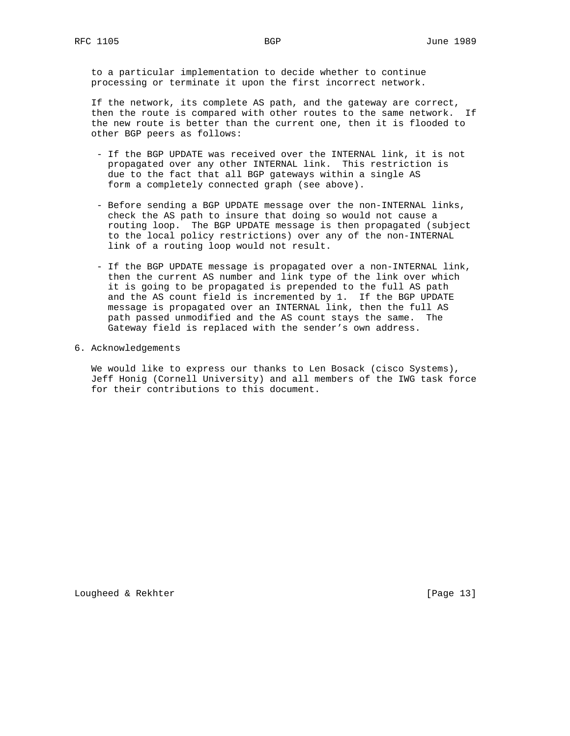to a particular implementation to decide whether to continue processing or terminate it upon the first incorrect network.

 If the network, its complete AS path, and the gateway are correct, then the route is compared with other routes to the same network. If the new route is better than the current one, then it is flooded to other BGP peers as follows:

- If the BGP UPDATE was received over the INTERNAL link, it is not propagated over any other INTERNAL link. This restriction is due to the fact that all BGP gateways within a single AS form a completely connected graph (see above).
- Before sending a BGP UPDATE message over the non-INTERNAL links, check the AS path to insure that doing so would not cause a routing loop. The BGP UPDATE message is then propagated (subject to the local policy restrictions) over any of the non-INTERNAL link of a routing loop would not result.
- If the BGP UPDATE message is propagated over a non-INTERNAL link, then the current AS number and link type of the link over which it is going to be propagated is prepended to the full AS path and the AS count field is incremented by 1. If the BGP UPDATE message is propagated over an INTERNAL link, then the full AS path passed unmodified and the AS count stays the same. The Gateway field is replaced with the sender's own address.
- 6. Acknowledgements

 We would like to express our thanks to Len Bosack (cisco Systems), Jeff Honig (Cornell University) and all members of the IWG task force for their contributions to this document.

Lougheed & Rekhter [Page 13]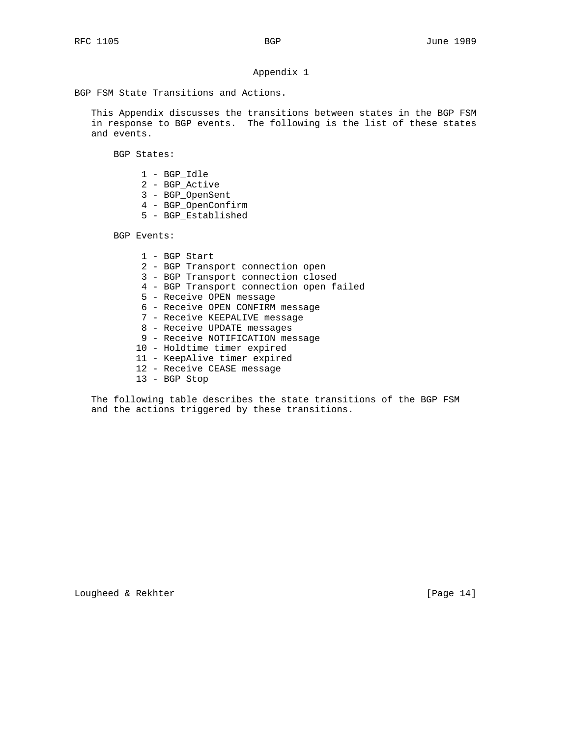# Appendix 1

BGP FSM State Transitions and Actions.

 This Appendix discusses the transitions between states in the BGP FSM in response to BGP events. The following is the list of these states and events.

BGP States:

- 1 BGP\_Idle
- 2 BGP\_Active
- 3 BGP\_OpenSent
- 4 BGP\_OpenConfirm
- 5 BGP\_Established

BGP Events:

 1 - BGP Start 2 - BGP Transport connection open 3 - BGP Transport connection closed 4 - BGP Transport connection open failed 5 - Receive OPEN message 6 - Receive OPEN CONFIRM message 7 - Receive KEEPALIVE message 8 - Receive UPDATE messages 9 - Receive NOTIFICATION message 10 - Holdtime timer expired 11 - KeepAlive timer expired 12 - Receive CEASE message 13 - BGP Stop

 The following table describes the state transitions of the BGP FSM and the actions triggered by these transitions.

Lougheed & Rekhter [Page 14]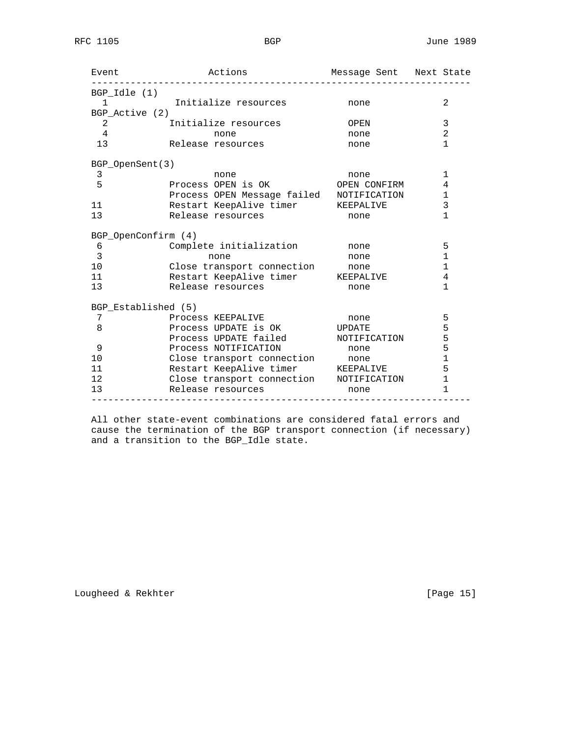| Event                          | Actions Message Sent Next State          |                   |                |
|--------------------------------|------------------------------------------|-------------------|----------------|
| $BGP$ _Idle $(1)$              |                                          |                   |                |
|                                | 1 1 Initialize resources none            |                   | 2              |
| BGP Active (2)                 |                                          |                   |                |
| $2 \left( \frac{1}{2} \right)$ | Initialize resources                     | OPEN              | 3              |
| $\overline{4}$                 | none                                     | none              | $\overline{2}$ |
| 13                             | Release resources                        | none              | 1              |
| BGP OpenSent(3)                |                                          |                   |                |
| 3                              | none                                     | none              | 1              |
| 5                              | Process OPEN is OK OPEN CONFIRM          |                   | 4              |
|                                | Process OPEN Message failed NOTIFICATION |                   | $\mathbf{1}$   |
| 11                             | Restart KeepAlive timer KEEPALIVE        |                   | 3              |
| 13                             | Release resources                        | none              | $\mathbf{1}$   |
|                                | BGP_OpenConfirm (4)                      |                   |                |
| 6                              | Complete initialization                  | <b>Example 10</b> | 5              |
| 3                              | none                                     | none              | $\mathbf 1$    |
| 10                             | Close transport connection mone          |                   | 1              |
| 11                             | Restart KeepAlive timer KEEPALIVE        |                   | 4              |
| 13                             | Release resources                        | none              | 1              |
|                                | BGP_Established (5)                      |                   |                |
| 7 <sup>7</sup>                 | Process KEEPALIVE                        | none              | 5              |
| 8                              | Process UPDATE is OK UPDATE              |                   | 5              |
|                                | Process UPDATE failed NOTIFICATION       |                   | 5              |
| 9                              | Process NOTIFICATION                     | none              | 5              |
| 10                             | Close transport connection mone          |                   | $\mathbf{1}$   |
| 11                             | Restart KeepAlive timer KEEPALIVE        |                   | 5              |
| 12                             | Close transport connection MOTIFICATION  |                   | $\mathbf{1}$   |
| 13                             | Release resources                        | none              | $\mathbf{1}$   |

 All other state-event combinations are considered fatal errors and cause the termination of the BGP transport connection (if necessary) and a transition to the BGP\_Idle state.

Lougheed & Rekhter [Page 15]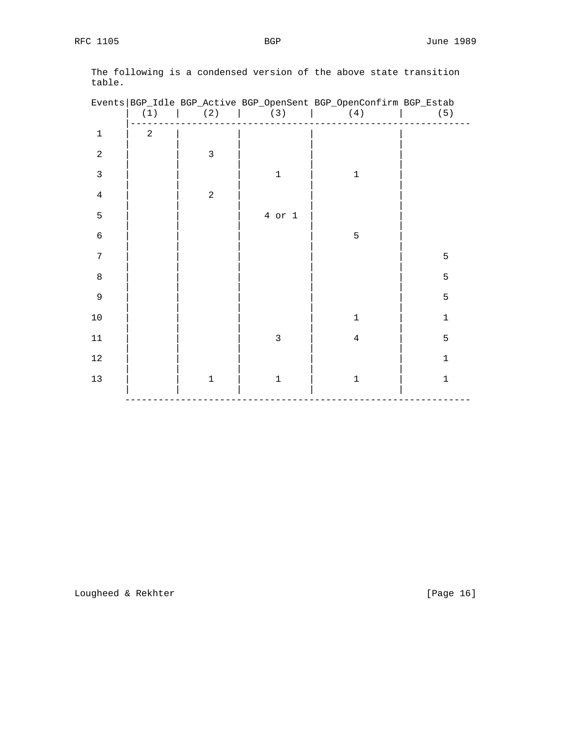|                | (1)            | (2)            | (3)          | Events   BGP_Idle BGP_Active BGP_OpenSent BGP_OpenConfirm BGP_Estab<br>(4) | (5)         |
|----------------|----------------|----------------|--------------|----------------------------------------------------------------------------|-------------|
| $\mathbf 1$    | $\overline{a}$ |                |              |                                                                            |             |
| $\sqrt{2}$     |                | $\mathbf{3}$   |              |                                                                            |             |
| $\mathbf{3}$   |                |                | $\mathbf 1$  | $1\,$                                                                      |             |
| $\overline{4}$ |                | $\overline{a}$ |              |                                                                            |             |
| $\mathsf S$    |                |                | $4$ or $1$   |                                                                            |             |
| $\epsilon$     |                |                |              | $\mathsf S$                                                                |             |
| $\overline{7}$ |                |                |              |                                                                            | 5           |
| $\,8\,$        |                |                |              |                                                                            | 5           |
| 9              |                |                |              |                                                                            | 5           |
| $10\,$         |                |                |              | $\mathbf 1$                                                                | $\mathbf 1$ |
| $11\,$         |                |                | $\mathsf{3}$ | $\overline{4}$                                                             | 5           |
| $1\,2$         |                |                |              |                                                                            | $\mathbf 1$ |
| $13\,$         |                | $\mathbf 1$    | $\mathbf 1$  | $\mathbf 1$                                                                | $\mathbf 1$ |
|                |                |                |              |                                                                            |             |

 The following is a condensed version of the above state transition table.

Lougheed & Rekhter [Page 16]